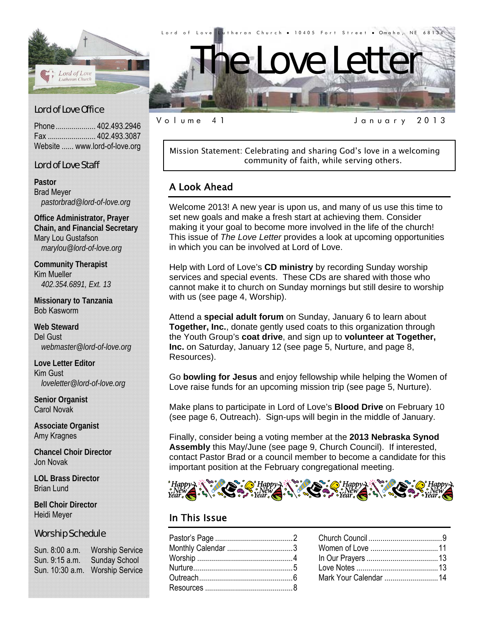

## Lord of Love Office

Phone .................... 402.493.2946 Fax ........................ 402.493.3087 Website ...... www.lord-of-love.org

### Lord of Love Staff

**Pastor**  Brad Meyer *pastorbrad@lord-of-love.org* 

**Office Administrator, Prayer Chain, and Financial Secretary**  Mary Lou Gustafson *marylou@lord-of-love.org* 

**Community Therapist**  Kim Mueller *402.354.6891, Ext. 13* 

**Missionary to Tanzania**  Bob Kasworm

**Web Steward**  Del Gust *webmaster@lord-of-love.org* 

**Love Letter Editor**  Kim Gust *loveletter@lord-of-love.org* 

**Senior Organist**  Carol Novak

**Associate Organist**  Amy Kragnes

**Chancel Choir Director**  Jon Novak

**LOL Brass Director**  Brian Lund

**Bell Choir Director**  Heidi Meyer

#### Worship Schedule

Sun. 8:00 a.m. Worship Service Sun. 9:15 a.m. Sunday School Sun. 10:30 a.m. Worship Service

Volume 41 January 2013

Mission Statement: Celebrating and sharing God's love in a welcoming community of faith, while serving others.

## A Look Ahead

Welcome 2013! A new year is upon us, and many of us use this time to set new goals and make a fresh start at achieving them. Consider making it your goal to become more involved in the life of the church! This issue of *The Love Letter* provides a look at upcoming opportunities in which you can be involved at Lord of Love.

Help with Lord of Love's **CD ministry** by recording Sunday worship services and special events. These CDs are shared with those who cannot make it to church on Sunday mornings but still desire to worship with us (see page 4, Worship).

Attend a **special adult forum** on Sunday, January 6 to learn about **Together, Inc.**, donate gently used coats to this organization through the Youth Group's **coat drive**, and sign up to **volunteer at Together, Inc.** on Saturday, January 12 (see page 5, Nurture, and page 8, Resources).

Go **bowling for Jesus** and enjoy fellowship while helping the Women of Love raise funds for an upcoming mission trip (see page 5, Nurture).

Make plans to participate in Lord of Love's **Blood Drive** on February 10 (see page 6, Outreach). Sign-ups will begin in the middle of January.

Finally, consider being a voting member at the **2013 Nebraska Synod Assembly** this May/June (see page 9, Church Council). If interested, contact Pastor Brad or a council member to become a candidate for this important position at the February congregational meeting.



## In This Issue

| Monthly Calendar 3 |  |
|--------------------|--|
|                    |  |
|                    |  |
|                    |  |
|                    |  |
|                    |  |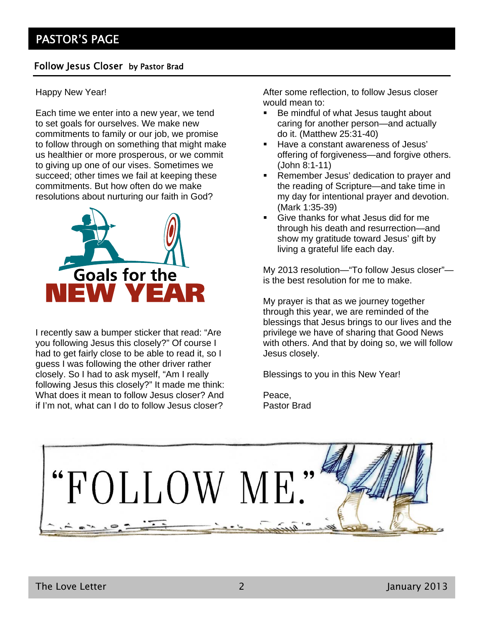## Follow Jesus Closer by Pastor Brad

### Happy New Year!

Each time we enter into a new year, we tend to set goals for ourselves. We make new commitments to family or our job, we promise to follow through on something that might make us healthier or more prosperous, or we commit to giving up one of our vises. Sometimes we succeed; other times we fail at keeping these commitments. But how often do we make resolutions about nurturing our faith in God?



I recently saw a bumper sticker that read: "Are you following Jesus this closely?" Of course I had to get fairly close to be able to read it, so I guess I was following the other driver rather closely. So I had to ask myself, "Am I really following Jesus this closely?" It made me think: What does it mean to follow Jesus closer? And if I'm not, what can I do to follow Jesus closer?

After some reflection, to follow Jesus closer would mean to:

- Be mindful of what Jesus taught about caring for another person—and actually do it. (Matthew 25:31-40)
- **Have a constant awareness of Jesus'** offering of forgiveness—and forgive others. (John 8:1-11)
- **Remember Jesus' dedication to prayer and** the reading of Scripture—and take time in my day for intentional prayer and devotion. (Mark 1:35-39)
- Give thanks for what Jesus did for me through his death and resurrection—and show my gratitude toward Jesus' gift by living a grateful life each day.

My 2013 resolution—"To follow Jesus closer" is the best resolution for me to make.

My prayer is that as we journey together through this year, we are reminded of the blessings that Jesus brings to our lives and the privilege we have of sharing that Good News with others. And that by doing so, we will follow Jesus closely.

Blessings to you in this New Year!

Peace, Pastor Brad

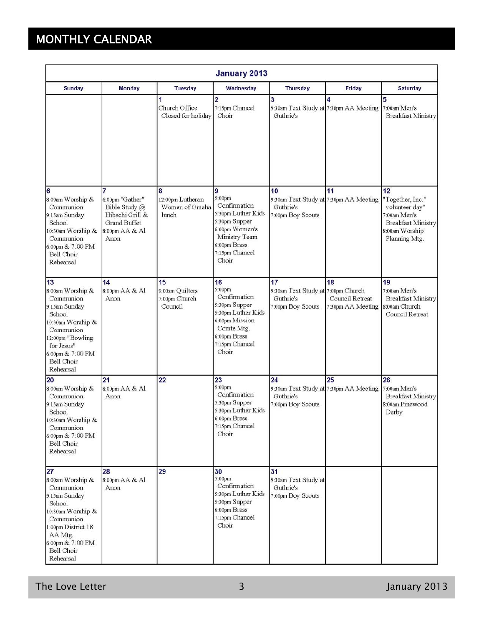# MONTHLY CALENDAR

| <b>January 2013</b>                                                                                                                                                               |                                                                                                           |                                                   |                                                                                                                                                  |                                                                                |                                             |                                                                                                                          |
|-----------------------------------------------------------------------------------------------------------------------------------------------------------------------------------|-----------------------------------------------------------------------------------------------------------|---------------------------------------------------|--------------------------------------------------------------------------------------------------------------------------------------------------|--------------------------------------------------------------------------------|---------------------------------------------|--------------------------------------------------------------------------------------------------------------------------|
| <b>Sunday</b>                                                                                                                                                                     | <b>Monday</b>                                                                                             | <b>Tuesday</b>                                    | Wednesday                                                                                                                                        | <b>Thursday</b>                                                                | Friday                                      | <b>Saturday</b>                                                                                                          |
|                                                                                                                                                                                   |                                                                                                           | 1<br>Church Office<br>Closed for holiday          | $\overline{2}$<br>7:15pm Chancel<br>Choir                                                                                                        | 3<br>Guthrie's                                                                 | 4<br>9:30am Text Study at 7:30pm AA Meeting | 5<br>7:00am Men's<br><b>Breakfast Ministry</b>                                                                           |
| 6<br>8:00am Worship &<br>Communion<br>9:15am Sunday<br>School<br>10:30am Worship &<br>Communion<br>6:00pm & 7:00 PM<br><b>Bell Choir</b><br>Rehearsal                             | 7<br>6:00pm "Gather"<br>Bible Study @<br>Hibachi Grill &<br><b>Grand Buffet</b><br>8:00pm AA & Al<br>Anon | 8<br>12:00pm Lutheran<br>Women of Omaha<br>lunch  | 9<br>5:00pm<br>Confirmation<br>5:30pm Luther Kids<br>5:30pm Supper<br>6:00pm Women's<br>Ministry Team<br>6:00pm Brass<br>7:15pm Chancel<br>Choir | 10<br>9:30am Text Study at 7:30pm AA Meeting<br>Guthrie's<br>7:00pm Boy Scouts | 11                                          | 12<br>"Together, Inc."<br>volunteer day"<br>7:00am Men's<br><b>Breakfast Ministry</b><br>8:00am Worship<br>Planning Mtg. |
| 13<br>8:00am Worship &<br>Communion<br>9:15am Sunday<br>School<br>10:30am Worship &<br>Communion<br>12:00pm "Bowling<br>for Jesus"<br>6:00pm & 7:00 PM<br>Bell Choir<br>Rehearsal | 14<br>8:00pm AA & Al<br>Anon                                                                              | 15<br>9:00am Quilters<br>7:00pm Church<br>Council | 16<br>5:00pm<br>Confirmation<br>5:30pm Supper<br>5:30pm Luther Kids<br>6:00pm Mission<br>Comte Mtg.<br>6:00pm Brass<br>7:15pm Chancel<br>Choir   | 17<br>9:30am Text Study at 7:00pm Church<br>Guthrie's<br>7:00pm Boy Scouts     | 18<br>Council Retreat<br>7:30pm AA Meeting  | 19<br>7:00am Men's<br><b>Breakfast Ministry</b><br>8:00am Church<br>Council Retreat                                      |
| 20<br>8:00am Worship &<br>Communion<br>9:15am Sunday<br>School<br>0:30am Worship &<br>Communion<br>6:00pm & 7:00 PM<br>Bell Choir<br>Rehearsal                                    | 21<br>8:00pm AA & Al<br>Anon                                                                              | 22                                                | 23<br>5:00pm<br>Confirmation<br>5:30pm Supper<br>5:30pm Luther Kids<br>6:00pm Brass<br>7:15pm Chancel<br>Choir                                   | 24<br>9:30am Text Study at 7:30pm AA Meeting<br>Guthrie's<br>7:00pm Boy Scouts | 25                                          | 26<br>7:00am Men's<br><b>Breakfast Ministry</b><br>8:00am Pinewood<br>Derby                                              |
| 27<br>8:00am Worship &<br>Communion<br>9:15am Sunday<br>School<br>10:30am Worship &<br>Communion<br>1:00pm District 18<br>AA Mtg.<br>6:00pm & 7:00 PM<br>Bell Choir<br>Rehearsal  | 28<br>8:00pm AA & Al<br>Anon                                                                              | 29                                                | 30<br>5:00pm<br>Confirmation<br>5:30pm Luther Kids<br>5:30pm Supper<br>6:00pm Brass<br>7:15pm Chancel<br>Choir                                   | 31<br>9:30am Text Study at<br>Guthrie's<br>7:00pm Boy Scouts                   |                                             |                                                                                                                          |

The Love Letter 2013 and 2013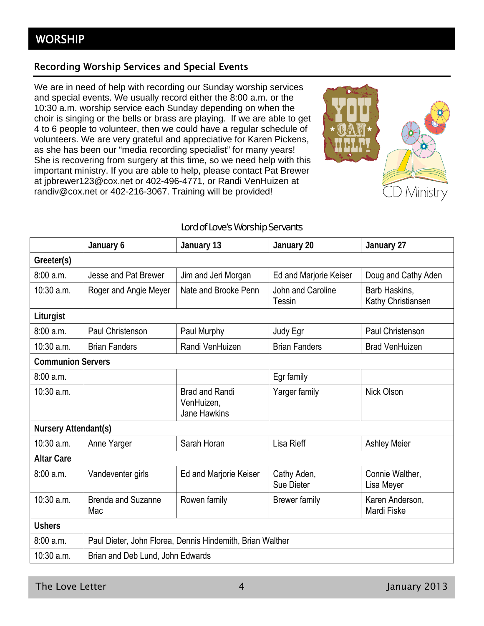## Recording Worship Services and Special Events

We are in need of help with recording our Sunday worship services and special events. We usually record either the 8:00 a.m. or the 10:30 a.m. worship service each Sunday depending on when the choir is singing or the bells or brass are playing. If we are able to get 4 to 6 people to volunteer, then we could have a regular schedule of volunteers. We are very grateful and appreciative for Karen Pickens, as she has been our "media recording specialist" for many years! She is recovering from surgery at this time, so we need help with this important ministry. If you are able to help, please contact Pat Brewer at jpbrewer123@cox.net or 402-496-4771, or Randi VenHuizen at randiv@cox.net or 402-216-3067. Training will be provided!



## Lord of Love's Worship Servants

|                          | January 6                                                 | January 13                                                 | January 20                  | January 27                          |
|--------------------------|-----------------------------------------------------------|------------------------------------------------------------|-----------------------------|-------------------------------------|
| Greeter(s)               |                                                           |                                                            |                             |                                     |
| 8:00a.m.                 | Jesse and Pat Brewer                                      | Jim and Jeri Morgan                                        | Ed and Marjorie Keiser      | Doug and Cathy Aden                 |
| $10:30$ a.m.             | Roger and Angie Meyer                                     | Nate and Brooke Penn                                       | John and Caroline<br>Tessin | Barb Haskins,<br>Kathy Christiansen |
| Liturgist                |                                                           |                                                            |                             |                                     |
| 8:00a.m.                 | Paul Christenson                                          | Paul Murphy                                                | Judy Egr                    | <b>Paul Christenson</b>             |
| 10:30 a.m.               | <b>Brian Fanders</b>                                      | Randi VenHuizen                                            | <b>Brian Fanders</b>        | <b>Brad VenHuizen</b>               |
| <b>Communion Servers</b> |                                                           |                                                            |                             |                                     |
| 8:00 a.m.                |                                                           |                                                            | Egr family                  |                                     |
| $10:30$ a.m.             |                                                           | <b>Brad and Randi</b><br>VenHuizen,<br><b>Jane Hawkins</b> | Yarger family               | Nick Olson                          |
| Nursery Attendant(s)     |                                                           |                                                            |                             |                                     |
| 10:30 a.m.               | Anne Yarger                                               | Sarah Horan                                                | Lisa Rieff                  | <b>Ashley Meier</b>                 |
| <b>Altar Care</b>        |                                                           |                                                            |                             |                                     |
| 8:00 a.m.                | Vandeventer girls                                         | Ed and Marjorie Keiser                                     | Cathy Aden,<br>Sue Dieter   | Connie Walther,<br>Lisa Meyer       |
| 10:30 a.m.               | <b>Brenda and Suzanne</b><br>Mac                          | Rowen family                                               | <b>Brewer family</b>        | Karen Anderson,<br>Mardi Fiske      |
| <b>Ushers</b>            |                                                           |                                                            |                             |                                     |
| 8:00 a.m.                | Paul Dieter, John Florea, Dennis Hindemith, Brian Walther |                                                            |                             |                                     |
| $10:30$ a.m.             | Brian and Deb Lund, John Edwards                          |                                                            |                             |                                     |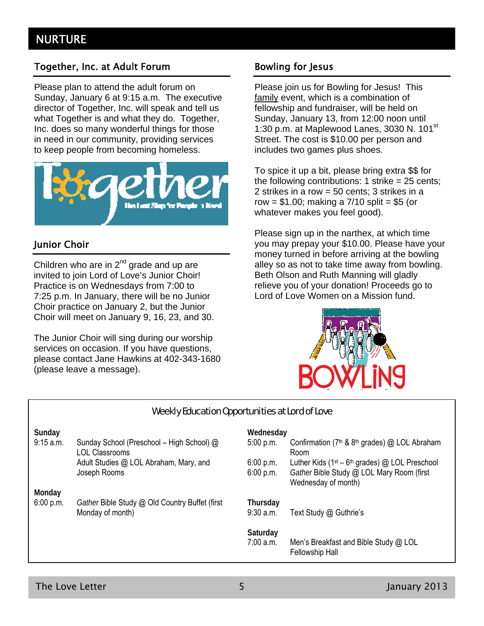## Together, Inc. at Adult Forum **Bowling for Jesus**

Please plan to attend the adult forum on Sunday, January 6 at 9:15 a.m. The executive director of Together, Inc. will speak and tell us what Together is and what they do. Together, Inc. does so many wonderful things for those in need in our community, providing services to keep people from becoming homeless.



## Junior Choir

Children who are in  $2^{nd}$  grade and up are invited to join Lord of Love's Junior Choir! Practice is on Wednesdays from 7:00 to 7:25 p.m. In January, there will be no Junior Choir practice on January 2, but the Junior Choir will meet on January 9, 16, 23, and 30.

The Junior Choir will sing during our worship services on occasion. If you have questions, please contact Jane Hawkins at 402-343-1680 (please leave a message).

Please join us for Bowling for Jesus! This family event, which is a combination of fellowship and fundraiser, will be held on Sunday, January 13, from 12:00 noon until 1:30 p.m. at Maplewood Lanes, 3030 N.  $101<sup>st</sup>$ Street. The cost is \$10.00 per person and includes two games plus shoes.

To spice it up a bit, please bring extra \$\$ for the following contributions: 1 strike  $= 25$  cents: 2 strikes in a row = 50 cents; 3 strikes in a row =  $$1.00$ ; making a  $7/10$  split =  $$5$  (or whatever makes you feel good).

Please sign up in the narthex, at which time you may prepay your \$10.00. Please have your money turned in before arriving at the bowling alley so as not to take time away from bowling. Beth Olson and Ruth Manning will gladly relieve you of your donation! Proceeds go to Lord of Love Women on a Mission fund.



| Weekly Education Opportunities at Lord of Love |                                                             |             |                                                                               |  |
|------------------------------------------------|-------------------------------------------------------------|-------------|-------------------------------------------------------------------------------|--|
| Sunday                                         |                                                             | Wednesday   |                                                                               |  |
| 9:15 a.m.                                      | Sunday School (Preschool – High School) @<br>LOL Classrooms | 5:00 p.m.   | Confirmation (7 <sup>th</sup> & 8 <sup>th</sup> grades) @ LOL Abraham<br>Room |  |
|                                                | Adult Studies @ LOL Abraham, Mary, and                      | 6:00 p.m.   | Luther Kids ( $1st - 6th$ grades) @ LOL Preschool                             |  |
|                                                | Joseph Rooms                                                | 6:00 p.m.   | Gather Bible Study @ LOL Mary Room (first<br>Wednesday of month)              |  |
| Monday                                         |                                                             |             |                                                                               |  |
| 6:00 p.m.                                      | Gather Bible Study @ Old Country Buffet (first              | Thursday    |                                                                               |  |
|                                                | Monday of month)                                            | $9:30$ a.m. | Text Study @ Guthrie's                                                        |  |
|                                                |                                                             | Saturday    |                                                                               |  |
|                                                |                                                             | 7:00 a.m.   | Men's Breakfast and Bible Study @ LOL<br><b>Fellowship Hall</b>               |  |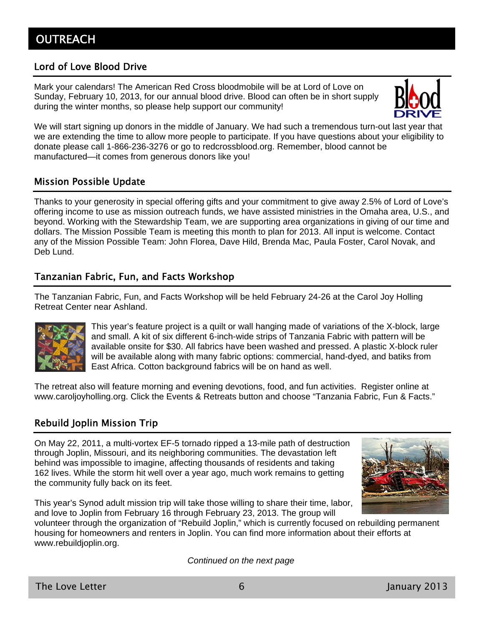## Lord of Love Blood Drive

Mark your calendars! The American Red Cross bloodmobile will be at Lord of Love on Sunday, February 10, 2013, for our annual blood drive. Blood can often be in short supply during the winter months, so please help support our community!



We will start signing up donors in the middle of January. We had such a tremendous turn-out last year that we are extending the time to allow more people to participate. If you have questions about your eligibility to donate please call 1-866-236-3276 or go to redcrossblood.org. Remember, blood cannot be manufactured—it comes from generous donors like you!

## Mission Possible Update

Thanks to your generosity in special offering gifts and your commitment to give away 2.5% of Lord of Love's offering income to use as mission outreach funds, we have assisted ministries in the Omaha area, U.S., and beyond. Working with the Stewardship Team, we are supporting area organizations in giving of our time and dollars. The Mission Possible Team is meeting this month to plan for 2013. All input is welcome. Contact any of the Mission Possible Team: John Florea, Dave Hild, Brenda Mac, Paula Foster, Carol Novak, and Deb Lund.

## Tanzanian Fabric, Fun, and Facts Workshop

The Tanzanian Fabric, Fun, and Facts Workshop will be held February 24-26 at the Carol Joy Holling Retreat Center near Ashland.



This year's feature project is a quilt or wall hanging made of variations of the X-block, large and small. A kit of six different 6-inch-wide strips of Tanzania Fabric with pattern will be available onsite for \$30. All fabrics have been washed and pressed. A plastic X-block ruler will be available along with many fabric options: commercial, hand-dyed, and batiks from East Africa. Cotton background fabrics will be on hand as well.

The retreat also will feature morning and evening devotions, food, and fun activities. Register online at www.caroljoyholling.org. Click the Events & Retreats button and choose "Tanzania Fabric, Fun & Facts."

## Rebuild Joplin Mission Trip

On May 22, 2011, a multi-vortex EF-5 tornado ripped a 13-mile path of destruction through Joplin, Missouri, and its neighboring communities. The devastation left behind was impossible to imagine, affecting thousands of residents and taking 162 lives. While the storm hit well over a year ago, much work remains to getting the community fully back on its feet.



This year's Synod adult mission trip will take those willing to share their time, labor, and love to Joplin from February 16 through February 23, 2013. The group will

volunteer through the organization of "Rebuild Joplin," which is currently focused on rebuilding permanent housing for homeowners and renters in Joplin. You can find more information about their efforts at www.rebuildjoplin.org.

*Continued on the next page*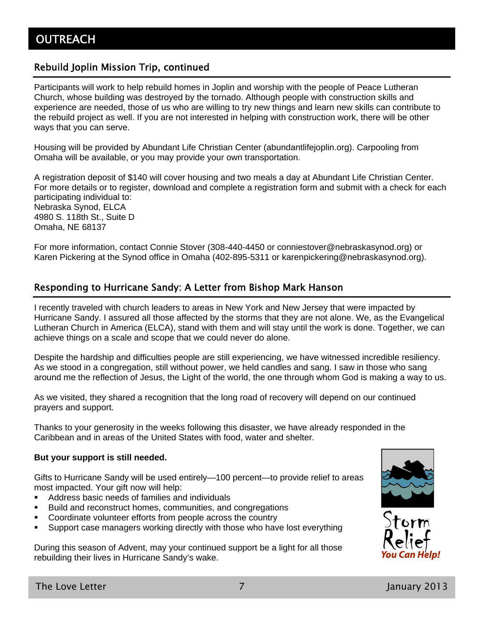## Rebuild Joplin Mission Trip, continued

Participants will work to help rebuild homes in Joplin and worship with the people of Peace Lutheran Church, whose building was destroyed by the tornado. Although people with construction skills and experience are needed, those of us who are willing to try new things and learn new skills can contribute to the rebuild project as well. If you are not interested in helping with construction work, there will be other ways that you can serve.

Housing will be provided by Abundant Life Christian Center (abundantlifejoplin.org). Carpooling from Omaha will be available, or you may provide your own transportation.

A registration deposit of \$140 will cover housing and two meals a day at Abundant Life Christian Center. For more details or to register, download and complete a registration form and submit with a check for each participating individual to: Nebraska Synod, ELCA 4980 S. 118th St., Suite D Omaha, NE 68137

For more information, contact Connie Stover (308-440-4450 or conniestover@nebraskasynod.org) or Karen Pickering at the Synod office in Omaha (402-895-5311 or karenpickering@nebraskasynod.org).

## Responding to Hurricane Sandy: A Letter from Bishop Mark Hanson

I recently traveled with church leaders to areas in New York and New Jersey that were impacted by Hurricane Sandy. I assured all those affected by the storms that they are not alone. We, as the Evangelical Lutheran Church in America (ELCA), stand with them and will stay until the work is done. Together, we can achieve things on a scale and scope that we could never do alone.

Despite the hardship and difficulties people are still experiencing, we have witnessed incredible resiliency. As we stood in a congregation, still without power, we held candles and sang. I saw in those who sang around me the reflection of Jesus, the Light of the world, the one through whom God is making a way to us.

As we visited, they shared a recognition that the long road of recovery will depend on our continued prayers and support.

Thanks to your generosity in the weeks following this disaster, we have already responded in the Caribbean and in areas of the United States with food, water and shelter.

#### **But your support is still needed.**

Gifts to Hurricane Sandy will be used entirely—100 percent—to provide relief to areas most impacted. Your gift now will help:

- Address basic needs of families and individuals
- **Build and reconstruct homes, communities, and congregations**
- Coordinate volunteer efforts from people across the country
- **Support case managers working directly with those who have lost everything**

During this season of Advent, may your continued support be a light for all those rebuilding their lives in Hurricane Sandy's wake.



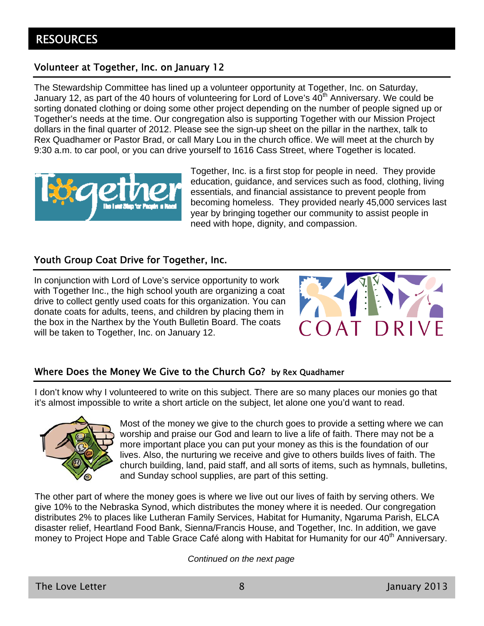## Volunteer at Together, Inc. on January 12

The Stewardship Committee has lined up a volunteer opportunity at Together, Inc. on Saturday, January 12, as part of the 40 hours of volunteering for Lord of Love's  $40<sup>th</sup>$  Anniversary. We could be sorting donated clothing or doing some other project depending on the number of people signed up or Together's needs at the time. Our congregation also is supporting Together with our Mission Project dollars in the final quarter of 2012. Please see the sign-up sheet on the pillar in the narthex, talk to Rex Quadhamer or Pastor Brad, or call Mary Lou in the church office. We will meet at the church by 9:30 a.m. to car pool, or you can drive yourself to 1616 Cass Street, where Together is located.



Together, Inc. is a first stop for people in need. They provide education, guidance, and services such as food, clothing, living essentials, and financial assistance to prevent people from becoming homeless. They provided nearly 45,000 services last year by bringing together our community to assist people in need with hope, dignity, and compassion.

## Youth Group Coat Drive for Together, Inc.

In conjunction with Lord of Love's service opportunity to work with Together Inc., the high school youth are organizing a coat drive to collect gently used coats for this organization. You can donate coats for adults, teens, and children by placing them in the box in the Narthex by the Youth Bulletin Board. The coats will be taken to Together, Inc. on January 12.



## Where Does the Money We Give to the Church Go? by Rex Quadhamer

I don't know why I volunteered to write on this subject. There are so many places our monies go that it's almost impossible to write a short article on the subject, let alone one you'd want to read.



Most of the money we give to the church goes to provide a setting where we can worship and praise our God and learn to live a life of faith. There may not be a more important place you can put your money as this is the foundation of our lives. Also, the nurturing we receive and give to others builds lives of faith. The church building, land, paid staff, and all sorts of items, such as hymnals, bulletins, and Sunday school supplies, are part of this setting.

The other part of where the money goes is where we live out our lives of faith by serving others. We give 10% to the Nebraska Synod, which distributes the money where it is needed. Our congregation distributes 2% to places like Lutheran Family Services, Habitat for Humanity, Ngaruma Parish, ELCA disaster relief, Heartland Food Bank, Sienna/Francis House, and Together, Inc. In addition, we gave money to Project Hope and Table Grace Café along with Habitat for Humanity for our 40<sup>th</sup> Anniversary.

*Continued on the next page*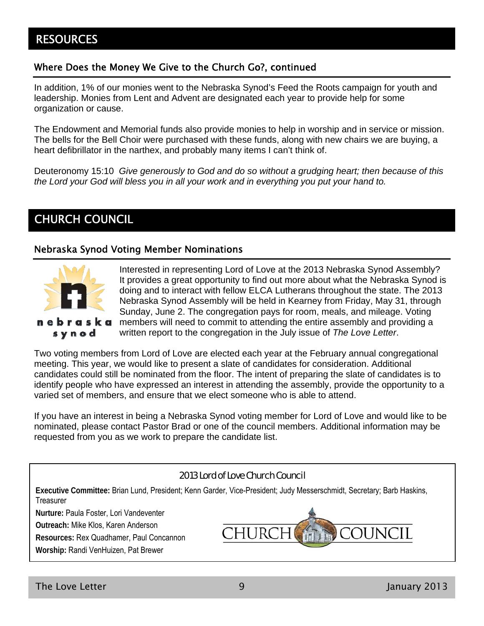## **RESOURCES**

## Where Does the Money We Give to the Church Go?, continued

In addition, 1% of our monies went to the Nebraska Synod's Feed the Roots campaign for youth and leadership. Monies from Lent and Advent are designated each year to provide help for some organization or cause.

The Endowment and Memorial funds also provide monies to help in worship and in service or mission. The bells for the Bell Choir were purchased with these funds, along with new chairs we are buying, a heart defibrillator in the narthex, and probably many items I can't think of.

Deuteronomy 15:10 *Give generously to God and do so without a grudging heart; then because of this the Lord your God will bless you in all your work and in everything you put your hand to.*

## CHURCH COUNCIL

## Nebraska Synod Voting Member Nominations



Interested in representing Lord of Love at the 2013 Nebraska Synod Assembly? It provides a great opportunity to find out more about what the Nebraska Synod is doing and to interact with fellow ELCA Lutherans throughout the state. The 2013 Nebraska Synod Assembly will be held in Kearney from Friday, May 31, through Sunday, June 2. The congregation pays for room, meals, and mileage. Voting members will need to commit to attending the entire assembly and providing a written report to the congregation in the July issue of *The Love Letter*.

Two voting members from Lord of Love are elected each year at the February annual congregational meeting. This year, we would like to present a slate of candidates for consideration. Additional candidates could still be nominated from the floor. The intent of preparing the slate of candidates is to identify people who have expressed an interest in attending the assembly, provide the opportunity to a varied set of members, and ensure that we elect someone who is able to attend.

If you have an interest in being a Nebraska Synod voting member for Lord of Love and would like to be nominated, please contact Pastor Brad or one of the council members. Additional information may be requested from you as we work to prepare the candidate list.

### 2013 Lord of Love Church Council

**Executive Committee:** Brian Lund, President; Kenn Garder, Vice-President; Judy Messerschmidt, Secretary; Barb Haskins, **Treasurer** 

**Nurture:** Paula Foster, Lori Vandeventer

**Outreach:** Mike Klos, Karen Anderson

**Resources:** Rex Quadhamer, Paul Concannon

**Worship:** Randi VenHuizen, Pat Brewer

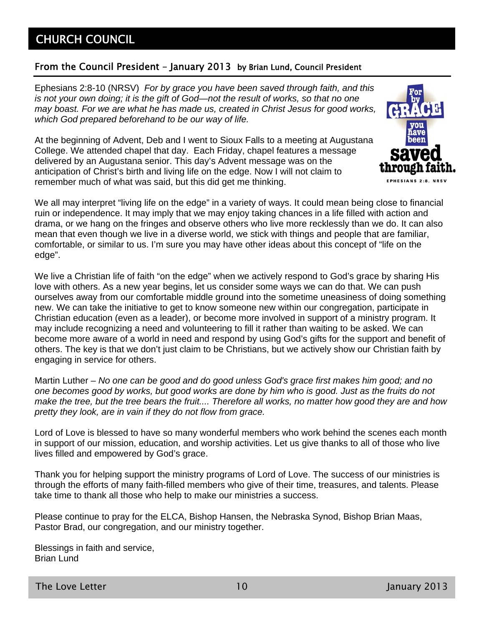## CHURCH COUNCIL

## From the Council President – January 2013 by Brian Lund, Council President

Ephesians 2:8-10 (NRSV) *For by grace you have been saved through faith, and this is not your own doing; it is the gift of God—not the result of works, so that no one may boast. For we are what he has made us, created in Christ Jesus for good works, which God prepared beforehand to be our way of life.*

At the beginning of Advent, Deb and I went to Sioux Falls to a meeting at Augustana College. We attended chapel that day. Each Friday, chapel features a message delivered by an Augustana senior. This day's Advent message was on the anticipation of Christ's birth and living life on the edge. Now I will not claim to remember much of what was said, but this did get me thinking.



We all may interpret "living life on the edge" in a variety of ways. It could mean being close to financial ruin or independence. It may imply that we may enjoy taking chances in a life filled with action and drama, or we hang on the fringes and observe others who live more recklessly than we do. It can also mean that even though we live in a diverse world, we stick with things and people that are familiar, comfortable, or similar to us. I'm sure you may have other ideas about this concept of "life on the edge".

We live a Christian life of faith "on the edge" when we actively respond to God's grace by sharing His love with others. As a new year begins, let us consider some ways we can do that. We can push ourselves away from our comfortable middle ground into the sometime uneasiness of doing something new. We can take the initiative to get to know someone new within our congregation, participate in Christian education (even as a leader), or become more involved in support of a ministry program. It may include recognizing a need and volunteering to fill it rather than waiting to be asked. We can become more aware of a world in need and respond by using God's gifts for the support and benefit of others. The key is that we don't just claim to be Christians, but we actively show our Christian faith by engaging in service for others.

Martin Luther – *No one can be good and do good unless God's grace first makes him good; and no one becomes good by works, but good works are done by him who is good. Just as the fruits do not make the tree, but the tree bears the fruit.... Therefore all works, no matter how good they are and how pretty they look, are in vain if they do not flow from grace.*

Lord of Love is blessed to have so many wonderful members who work behind the scenes each month in support of our mission, education, and worship activities. Let us give thanks to all of those who live lives filled and empowered by God's grace.

Thank you for helping support the ministry programs of Lord of Love. The success of our ministries is through the efforts of many faith-filled members who give of their time, treasures, and talents. Please take time to thank all those who help to make our ministries a success.

Please continue to pray for the ELCA, Bishop Hansen, the Nebraska Synod, Bishop Brian Maas, Pastor Brad, our congregation, and our ministry together.

Blessings in faith and service, Brian Lund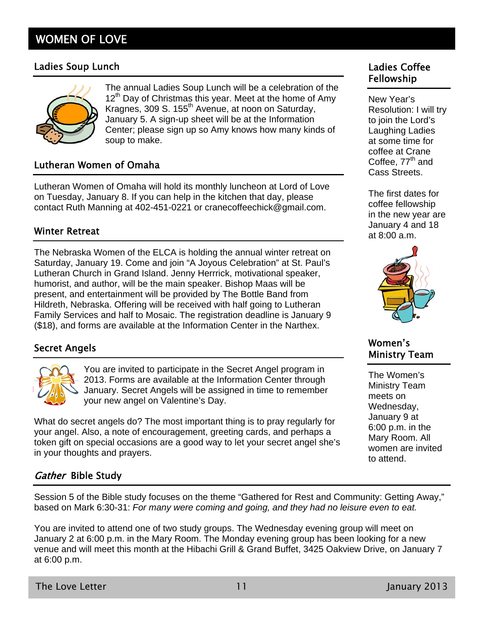## WOMEN OF LOVE

## Ladies Soup Lunch Ladies Coffee



The annual Ladies Soup Lunch will be a celebration of the 12<sup>th</sup> Day of Christmas this year. Meet at the home of Amy Kragnes, 309 S. 155th Avenue, at noon on Saturday, January 5. A sign-up sheet will be at the Information Center; please sign up so Amy knows how many kinds of soup to make.

## Lutheran Women of Omaha

Lutheran Women of Omaha will hold its monthly luncheon at Lord of Love on Tuesday, January 8. If you can help in the kitchen that day, please contact Ruth Manning at 402-451-0221 or cranecoffeechick@gmail.com.

## Winter Retreat

The Nebraska Women of the ELCA is holding the annual winter retreat on Saturday, January 19. Come and join "A Joyous Celebration" at St. Paul's Lutheran Church in Grand Island. Jenny Herrrick, motivational speaker, humorist, and author, will be the main speaker. Bishop Maas will be present, and entertainment will be provided by The Bottle Band from Hildreth, Nebraska. Offering will be received with half going to Lutheran Family Services and half to Mosaic. The registration deadline is January 9 (\$18), and forms are available at the Information Center in the Narthex.

## Secret Angels



You are invited to participate in the Secret Angel program in 2013. Forms are available at the Information Center through January. Secret Angels will be assigned in time to remember your new angel on Valentine's Day.

What do secret angels do? The most important thing is to pray regularly for your angel. Also, a note of encouragement, greeting cards, and perhaps a token gift on special occasions are a good way to let your secret angel she's in your thoughts and prayers.

## Gather Bible Study

Session 5 of the Bible study focuses on the theme "Gathered for Rest and Community: Getting Away," based on Mark 6:30-31: *For many were coming and going, and they had no leisure even to eat.*

You are invited to attend one of two study groups. The Wednesday evening group will meet on January 2 at 6:00 p.m. in the Mary Room. The Monday evening group has been looking for a new venue and will meet this month at the Hibachi Grill & Grand Buffet, 3425 Oakview Drive, on January 7 at 6:00 p.m.

New Year's Resolution: I will try to join the Lord's Laughing Ladies at some time for coffee at Crane Coffee,  $77<sup>th</sup>$  and Cass Streets.

The first dates for coffee fellowship in the new year are January 4 and 18 at 8:00 a.m.



## Women's Ministry Team

The Women's Ministry Team meets on Wednesday, January 9 at 6:00 p.m. in the Mary Room. All women are invited to attend.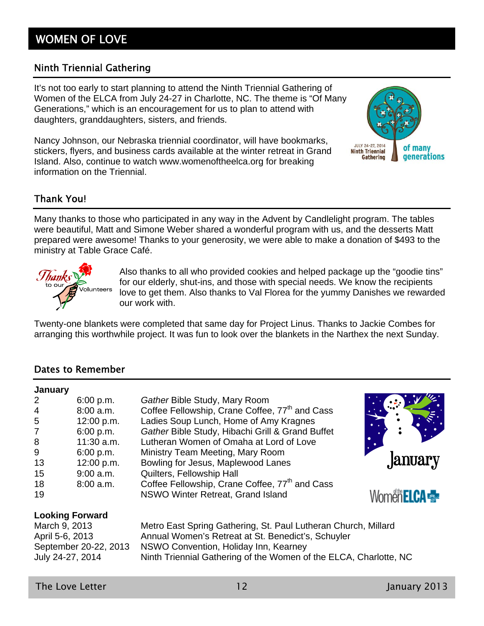## WOMEN OF LOVE

## Ninth Triennial Gathering

It's not too early to start planning to attend the Ninth Triennial Gathering of Women of the ELCA from July 24-27 in Charlotte, NC. The theme is "Of Many Generations," which is an encouragement for us to plan to attend with daughters, granddaughters, sisters, and friends.

Nancy Johnson, our Nebraska triennial coordinator, will have bookmarks, stickers, flyers, and business cards available at the winter retreat in Grand Island. Also, continue to watch www.womenoftheelca.org for breaking information on the Triennial.



## Thank You!

Many thanks to those who participated in any way in the Advent by Candlelight program. The tables were beautiful, Matt and Simone Weber shared a wonderful program with us, and the desserts Matt prepared were awesome! Thanks to your generosity, we were able to make a donation of \$493 to the ministry at Table Grace Café.



Also thanks to all who provided cookies and helped package up the "goodie tins" for our elderly, shut-ins, and those with special needs. We know the recipients love to get them. Also thanks to Val Florea for the yummy Danishes we rewarded our work with.

Twenty-one blankets were completed that same day for Project Linus. Thanks to Jackie Combes for arranging this worthwhile project. It was fun to look over the blankets in the Narthex the next Sunday.

## Dates to Remember

| 6:00 p.m.                                                                     | Gather Bible Study, Mary Room                                                                                                                                                                                                      |                                  |
|-------------------------------------------------------------------------------|------------------------------------------------------------------------------------------------------------------------------------------------------------------------------------------------------------------------------------|----------------------------------|
| 8:00 a.m.                                                                     | Coffee Fellowship, Crane Coffee, 77 <sup>th</sup> and Cass                                                                                                                                                                         |                                  |
| 12:00 p.m.                                                                    | Ladies Soup Lunch, Home of Amy Kragnes                                                                                                                                                                                             |                                  |
| 6:00 p.m.                                                                     | Gather Bible Study, Hibachi Grill & Grand Buffet                                                                                                                                                                                   |                                  |
| $11:30$ a.m.                                                                  | Lutheran Women of Omaha at Lord of Love                                                                                                                                                                                            |                                  |
| 6:00 p.m.                                                                     | Ministry Team Meeting, Mary Room                                                                                                                                                                                                   |                                  |
| 12:00 p.m.                                                                    | Bowling for Jesus, Maplewood Lanes                                                                                                                                                                                                 | January                          |
| $9:00$ a.m.                                                                   | Quilters, Fellowship Hall                                                                                                                                                                                                          |                                  |
| $8:00$ a.m.                                                                   | Coffee Fellowship, Crane Coffee, 77 <sup>th</sup> and Cass                                                                                                                                                                         |                                  |
|                                                                               | NSWO Winter Retreat, Grand Island                                                                                                                                                                                                  | Womën <b>ELCA <sub>S</sub>ER</b> |
|                                                                               |                                                                                                                                                                                                                                    |                                  |
| March 9, 2013<br>April 5-6, 2013<br>September 20-22, 2013<br>July 24-27, 2014 | Metro East Spring Gathering, St. Paul Lutheran Church, Millard<br>Annual Women's Retreat at St. Benedict's, Schuyler<br>NSWO Convention, Holiday Inn, Kearney<br>Ninth Triennial Gathering of the Women of the ELCA, Charlotte, NC |                                  |
|                                                                               | <b>Looking Forward</b>                                                                                                                                                                                                             |                                  |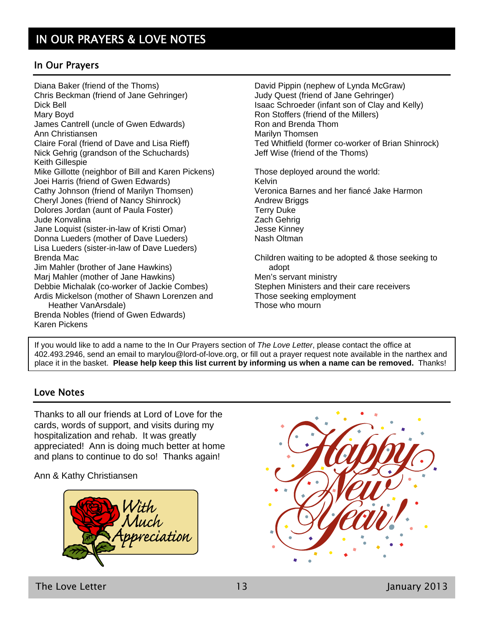## In Our Prayers

Diana Baker (friend of the Thoms) Chris Beckman (friend of Jane Gehringer) Dick Bell Mary Boyd James Cantrell (uncle of Gwen Edwards) Ann Christiansen Claire Foral (friend of Dave and Lisa Rieff) Nick Gehrig (grandson of the Schuchards) Keith Gillespie Mike Gillotte (neighbor of Bill and Karen Pickens) Joei Harris (friend of Gwen Edwards) Cathy Johnson (friend of Marilyn Thomsen) Cheryl Jones (friend of Nancy Shinrock) Dolores Jordan (aunt of Paula Foster) Jude Konvalina Jane Loquist (sister-in-law of Kristi Omar) Donna Lueders (mother of Dave Lueders) Lisa Lueders (sister-in-law of Dave Lueders) Brenda Mac Jim Mahler (brother of Jane Hawkins) Marj Mahler (mother of Jane Hawkins) Debbie Michalak (co-worker of Jackie Combes) Ardis Mickelson (mother of Shawn Lorenzen and Heather VanArsdale) Brenda Nobles (friend of Gwen Edwards) David Pippin (nephew of Lynda McGraw) Judy Quest (friend of Jane Gehringer) Isaac Schroeder (infant son of Clay and Kelly) Ron Stoffers (friend of the Millers) Ron and Brenda Thom Marilyn Thomsen Ted Whitfield (former co-worker of Brian Shinrock) Jeff Wise (friend of the Thoms) Those deployed around the world: Kelvin Veronica Barnes and her fiancé Jake Harmon Andrew Briggs Terry Duke Zach Gehrig Jesse Kinney Nash Oltman Children waiting to be adopted & those seeking to adopt Men's servant ministry Stephen Ministers and their care receivers Those seeking employment Those who mourn

If you would like to add a name to the In Our Prayers section of *The Love Letter*, please contact the office at 402.493.2946, send an email to marylou@lord-of-love.org, or fill out a prayer request note available in the narthex and place it in the basket. **Please help keep this list current by informing us when a name can be removed.** Thanks!

## Love Notes

Karen Pickens

Thanks to all our friends at Lord of Love for the cards, words of support, and visits during my hospitalization and rehab. It was greatly appreciated! Ann is doing much better at home and plans to continue to do so! Thanks again!

Ann & Kathy Christiansen